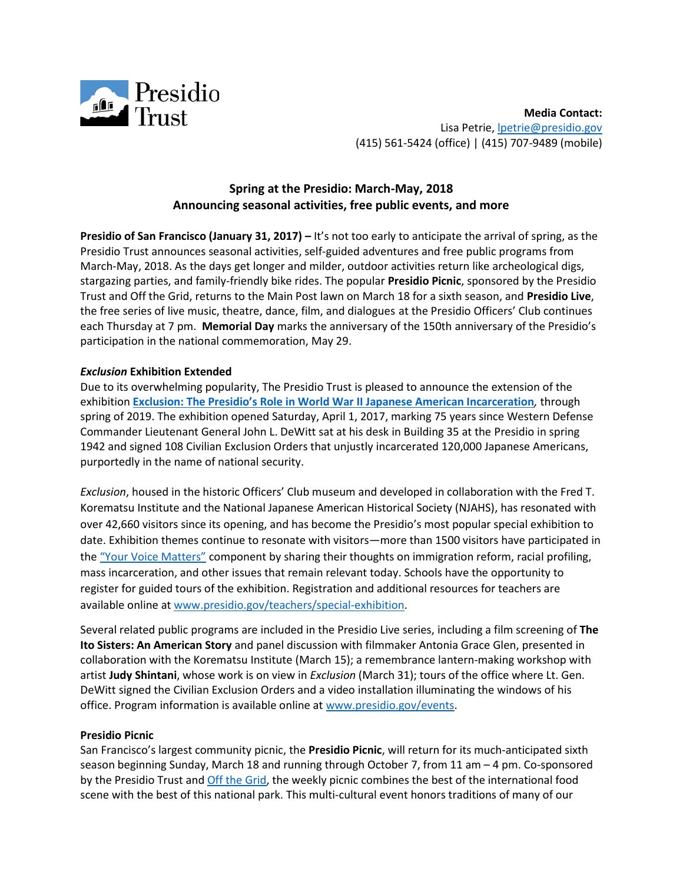

**Media Contact:**  Lisa Petrie, **lpetrie@presidio.gov** (415) 561-5424 (office) | (415) 707-9489 (mobile)

# **Spring at the Presidio: March-May, 2018 Announcing seasonal activities, free public events, and more**

**Presidio of San Francisco (January 31, 2017) – It's not too early to anticipate the arrival of spring, as the** Presidio Trust announces seasonal activities, self-guided adventures and free public programs from March-May, 2018. As the days get longer and milder, outdoor activities return like archeological digs, stargazing parties, and family-friendly bike rides. The popular **Presidio Picnic**, sponsored by the Presidio Trust and Off the Grid, returns to the Main Post lawn on March 18 for a sixth season, and **Presidio Live**, the free series of live music, theatre, dance, film, and dialogues at the Presidio Officers' Club continues each Thursday at 7 pm. **Memorial Day** marks the anniversary of the 150th anniversary of the Presidio's participation in the national commemoration, May 29.

## *Exclusion* **Exhibition Extended**

Due to its overwhelming popularity, The Presidio Trust is pleased to announce the extension of the exhibition **Exclusion: The [Presidio's Role in World War II Japanese American Incarceration](https://www.presidio.gov/officers-club/exhibitions/exclusion)***,* through spring of 2019. The exhibition opened Saturday, April 1, 2017, marking 75 years since Western Defense Commander Lieutenant General John L. DeWitt sat at his desk in Building 35 at the Presidio in spring 1942 and signed 108 Civilian Exclusion Orders that unjustly incarcerated 120,000 Japanese Americans, purportedly in the name of national security.

*Exclusion*, housed in the historic Officers' Club museum and developed in collaboration with the Fred T. Korematsu Institute and the National Japanese American Historical Society (NJAHS), has resonated with over 42,660 visitors since its opening, and has become the Presidio's most popular special exhibition to date. Exhibition themes continue to resonate with visitors—more than 1500 visitors have participated in the ["Your Voice Matters"](https://www.presidio.gov/officers-club/exhibitions/exclusion/your-voice-matters) component by sharing their thoughts on immigration reform, racial profiling, mass incarceration, and other issues that remain relevant today. Schools have the opportunity to register for guided tours of the exhibition. Registration and additional resources for teachers are available online at [www.presidio.gov/teachers/special-exhibition.](http://www.presidio.gov/teachers/special-exhibition)

Several related public programs are included in the Presidio Live series, including a film screening of **The Ito Sisters: An American Story** and panel discussion with filmmaker Antonia Grace Glen, presented in collaboration with the Korematsu Institute (March 15); a remembrance lantern-making workshop with artist **Judy Shintani**, whose work is on view in *Exclusion* (March 31); tours of the office where Lt. Gen. DeWitt signed the Civilian Exclusion Orders and a video installation illuminating the windows of his office. Program information is available online at [www.presidio.gov/events.](http://www.presidio.gov/events)

#### **Presidio Picnic**

San Francisco's largest community picnic, the **Presidio Picnic**, will return for its much-anticipated sixth season beginning Sunday, March 18 and running through October 7, from 11 am – 4 pm. Co-sponsored by the Presidio Trust and [Off the Grid,](https://offthegrid.com/) the weekly picnic combines the best of the international food scene with the best of this national park. This multi-cultural event honors traditions of many of our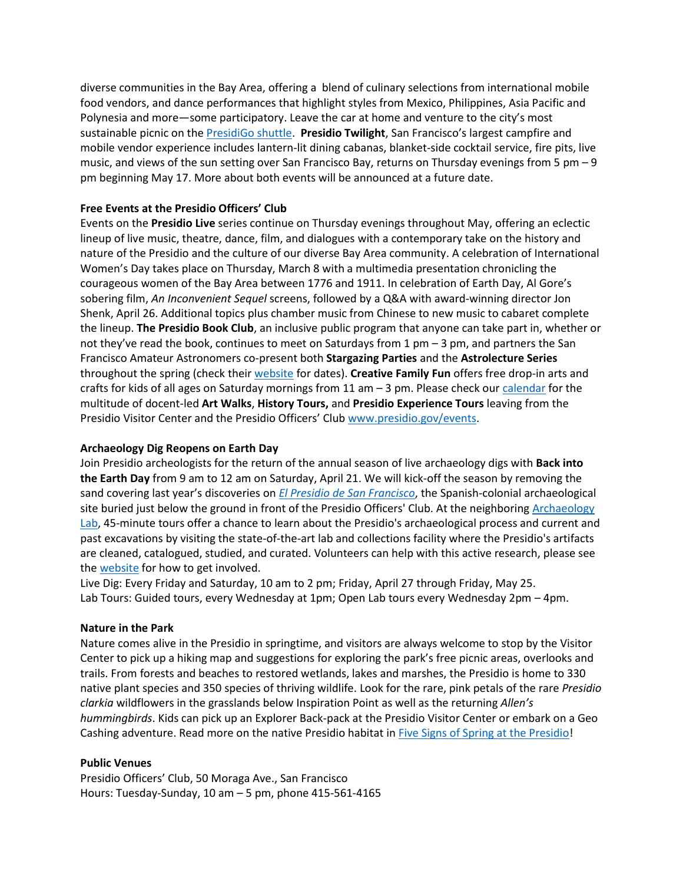diverse communities in the Bay Area, offering a blend of culinary selections from international mobile food vendors, and dance performances that highlight styles from Mexico, Philippines, Asia Pacific and Polynesia and more—some participatory. Leave the car at home and venture to the city's most sustainable picnic on the [PresidiGo shuttle.](https://www.presidio.gov/transportation/presidigo) **Presidio Twilight**, San Francisco's largest campfire and mobile vendor experience includes lantern-lit dining cabanas, blanket-side cocktail service, fire pits, live music, and views of the sun setting over San Francisco Bay, returns on Thursday evenings from 5 pm – 9 pm beginning May 17. More about both events will be announced at a future date.

# **Free Events at the Presidio Officers' Club**

Events on the **Presidio Live** series continue on Thursday evenings throughout May, offering an eclectic lineup of live music, theatre, dance, film, and dialogues with a contemporary take on the history and nature of the Presidio and the culture of our diverse Bay Area community. A celebration of International Women's Day takes place on Thursday, March 8 with a multimedia presentation chronicling the courageous women of the Bay Area between 1776 and 1911. In celebration of Earth Day, Al Gore's sobering film, *An Inconvenient Sequel* screens, followed by a Q&A with award-winning director Jon Shenk, April 26. Additional topics plus chamber music from Chinese to new music to cabaret complete the lineup. **The Presidio Book Club**, an inclusive public program that anyone can take part in, whether or not they've read the book, continues to meet on Saturdays from 1 pm – 3 pm, and partners the San Francisco Amateur Astronomers co-present both **Stargazing Parties** and the **Astrolecture Series** throughout the spring (check their [website](https://www.sfaa-astronomy.org/) for dates). **Creative Family Fun** offers free drop-in arts and crafts for kids of all ages on Saturday mornings from 11 am  $-3$  pm. Please check ou[r calendar](https://www.presidio.gov/events) for the multitude of docent-led **Art Walks**, **History Tours,** and **Presidio Experience Tours** leaving from the Presidio Visitor Center and the Presidio Officers' Club [www.presidio.gov/events.](file:///C:/Users/lpetrie/Desktop/Spring%202018/www.presidio.gov/events)

## **Archaeology Dig Reopens on Earth Day**

Join Presidio archeologists for the return of the annual season of live archaeology digs with **Back into the Earth Day** from 9 am to 12 am on Saturday, April 21. We will kick-off the season by removing the sand covering last year's discoveries on *El Presidio [de San Francisco](https://www.presidio.gov/blog/discovery-of-the-month-uncovering-the-foundations-of-el-presidio)*, the Spanish-colonial archaeological site buried just below the ground in front of the Presidio Officers' Club. At the neighboring Archaeology [Lab,](https://www.presidio.gov/officers-club/exhibitions/archaeology-lab-research) 45-minute tours offer a chance to learn about the Presidio's archaeological process and current and past excavations by visiting the state-of-the-art lab and collections facility where the Presidio's artifacts are cleaned, catalogued, studied, and curated. Volunteers can help with this active research, please see th[e website](https://www.presidio.gov/volunteer/archaeology) for how to get involved.

Live Dig: Every Friday and Saturday, 10 am to 2 pm; Friday, April 27 through Friday, May 25. Lab Tours: Guided tours, every Wednesday at 1pm; Open Lab tours every Wednesday 2pm – 4pm.

## **Nature in the Park**

Nature comes alive in the Presidio in springtime, and visitors are always welcome to stop by the Visitor Center to pick up a hiking map and suggestions for exploring the park's free picnic areas, overlooks and trails. From forests and beaches to restored wetlands, lakes and marshes, the Presidio is home to 330 native plant species and 350 species of thriving wildlife. Look for the rare, pink petals of the rare *Presidio clarkia* wildflowers in the grasslands below Inspiration Point as well as the returning *Allen's hummingbirds*. Kids can pick up an Explorer Back-pack at the Presidio Visitor Center or embark on a Geo Cashing adventure. Read more on the native Presidio habitat in [Five Signs of Spring at the Presidio!](https://www.presidio.gov/blog/presidios-greatest-lists-five-signs-of-spring-in-the-presidio)

## **Public Venues**

Presidio Officers' Club, 50 Moraga Ave., San Francisco Hours: Tuesday-Sunday, 10 am – 5 pm, phone 415-561-4165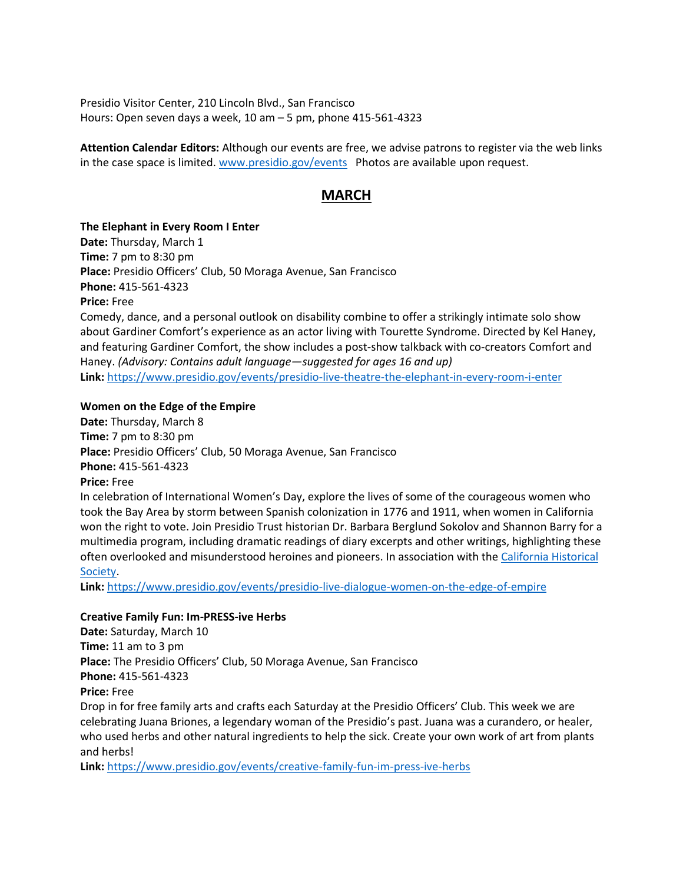Presidio Visitor Center, 210 Lincoln Blvd., San Francisco Hours: Open seven days a week, 10 am – 5 pm, phone 415-561-4323

**Attention Calendar Editors:** Although our events are free, we advise patrons to register via the web links in the case space is limited. [www.presidio.gov/events](http://www.presidio.gov/events) Photos are available upon request.

# **MARCH**

**The Elephant in Every Room I Enter**

**Date:** Thursday, March 1 **Time:** 7 pm to 8:30 pm **Place:** Presidio Officers' Club, 50 Moraga Avenue, San Francisco **Phone:** 415-561-4323 **Price:** Free Comedy, dance, and a personal outlook on disability combine to offer a strikingly intimate solo show about Gardiner Comfort's experience as an actor living with Tourette Syndrome. Directed by Kel Haney, and featuring Gardiner Comfort, the show includes a post-show talkback with co-creators Comfort and Haney. *(Advisory: Contains adult language—suggested for ages 16 and up)*

**Link:** <https://www.presidio.gov/events/presidio-live-theatre-the-elephant-in-every-room-i-enter>

#### **Women on the Edge of the Empire**

**Date:** Thursday, March 8 **Time:** 7 pm to 8:30 pm **Place:** Presidio Officers' Club, 50 Moraga Avenue, San Francisco **Phone:** 415-561-4323 **Price:** Free In celebration of International Women's Day, explore the lives of some of the courageous women who took the Bay Area by storm between Spanish colonization in 1776 and 1911, when women in California won the right to vote. Join Presidio Trust historian Dr. Barbara Berglund Sokolov and Shannon Barry for a multimedia program, including dramatic readings of diary excerpts and other writings, highlighting these often overlooked and misunderstood heroines and pioneers. In association with the [California Historical](https://www.californiahistoricalsociety.org/) 

#### [Society.](https://www.californiahistoricalsociety.org/)

**Link:** <https://www.presidio.gov/events/presidio-live-dialogue-women-on-the-edge-of-empire>

## **Creative Family Fun: Im-PRESS-ive Herbs**

**Date:** Saturday, March 10 **Time:** 11 am to 3 pm **Place:** The Presidio Officers' Club, 50 Moraga Avenue, San Francisco **Phone:** 415-561-4323 **Price:** Free Drop in for free family arts and crafts each Saturday at the Presidio Officers' Club. This week we are celebrating Juana Briones, a legendary woman of the Presidio's past. Juana was a curandero, or healer, who used herbs and other natural ingredients to help the sick. Create your own work of art from plants and herbs!

**Link:** <https://www.presidio.gov/events/creative-family-fun-im-press-ive-herbs>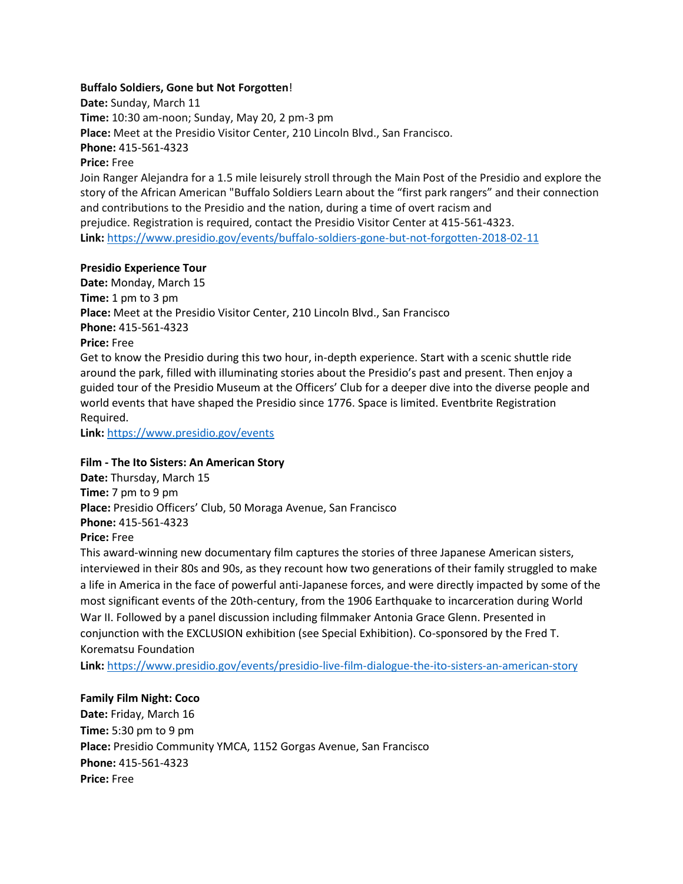## **Buffalo Soldiers, Gone but Not Forgotten**!

**Date:** Sunday, March 11 **Time:** 10:30 am-noon; Sunday, May 20, 2 pm-3 pm **Place:** Meet at the Presidio Visitor Center, 210 Lincoln Blvd., San Francisco. **Phone:** 415-561-4323 **Price:** Free Join Ranger Alejandra for a 1.5 mile leisurely stroll through the Main Post of the Presidio and explore the

story of the African American "Buffalo Soldiers Learn about the "first park rangers" and their connection and contributions to the Presidio and the nation, during a time of overt racism and prejudice. Registration is required, contact the Presidio Visitor Center at 415-561-4323. **Link:** <https://www.presidio.gov/events/buffalo-soldiers-gone-but-not-forgotten-2018-02-11>

#### **Presidio Experience Tour**

**Date:** Monday, March 15 **Time:** 1 pm to 3 pm **Place:** Meet at the Presidio Visitor Center, 210 Lincoln Blvd., San Francisco **Phone:** 415-561-4323 **Price:** Free Get to know the Presidio during this two hour, in-depth experience. Start with a scenic shuttle ride around the park, filled with illuminating stories about the Presidio's past and present. Then enjoy a guided tour of the Presidio Museum at the Officers' Club for a deeper dive into the diverse people and

world events that have shaped the Presidio since 1776. Space is limited. Eventbrite Registration Required.

**Link:** <https://www.presidio.gov/events>

#### **Film - The Ito Sisters: An American Story**

**Date:** Thursday, March 15 **Time:** 7 pm to 9 pm **Place:** Presidio Officers' Club, 50 Moraga Avenue, San Francisco **Phone:** 415-561-4323 **Price:** Free

This award-winning new documentary film captures the stories of three Japanese American sisters, interviewed in their 80s and 90s, as they recount how two generations of their family struggled to make a life in America in the face of powerful anti-Japanese forces, and were directly impacted by some of the most significant events of the 20th-century, from the 1906 Earthquake to incarceration during World War II. Followed by a panel discussion including filmmaker Antonia Grace Glenn. Presented in conjunction with the EXCLUSION exhibition (see Special Exhibition). Co-sponsored by the Fred T. Korematsu Foundation

**Link:** <https://www.presidio.gov/events/presidio-live-film-dialogue-the-ito-sisters-an-american-story>

#### **Family Film Night: Coco**

**Date:** Friday, March 16 **Time:** 5:30 pm to 9 pm **Place:** Presidio Community YMCA, 1152 Gorgas Avenue, San Francisco **Phone:** 415-561-4323 **Price:** Free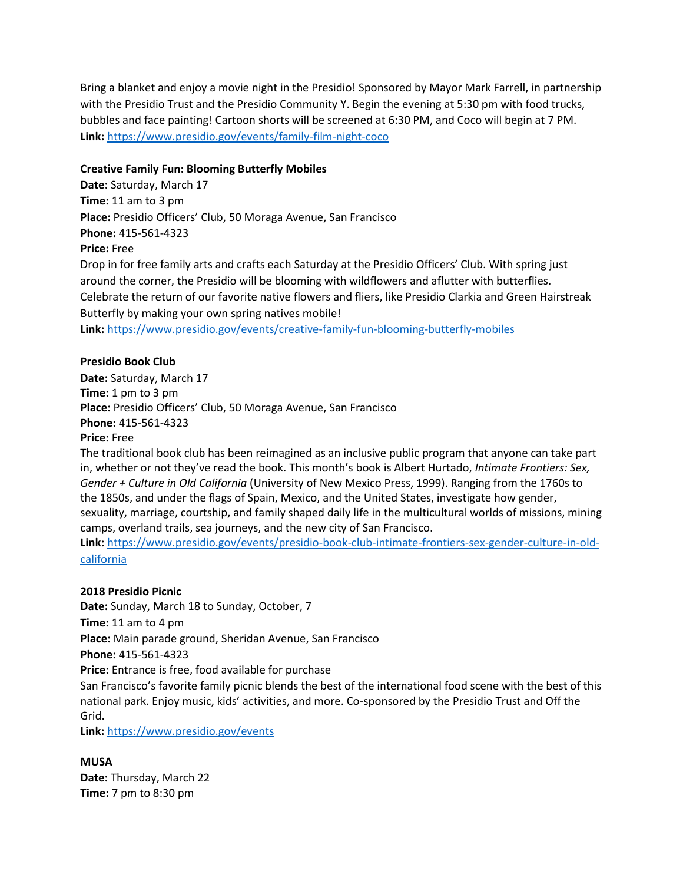Bring a blanket and enjoy a movie night in the Presidio! Sponsored by Mayor Mark Farrell, in partnership with the Presidio Trust and the Presidio Community Y. Begin the evening at 5:30 pm with food trucks, bubbles and face painting! Cartoon shorts will be screened at 6:30 PM, and Coco will begin at 7 PM. **Link:** <https://www.presidio.gov/events/family-film-night-coco>

# **Creative Family Fun: Blooming Butterfly Mobiles**

**Date:** Saturday, March 17 **Time:** 11 am to 3 pm **Place:** Presidio Officers' Club, 50 Moraga Avenue, San Francisco **Phone:** 415-561-4323 **Price:** Free Drop in for free family arts and crafts each Saturday at the Presidio Officers' Club. With spring just around the corner, the Presidio will be blooming with wildflowers and aflutter with butterflies. Celebrate the return of our favorite native flowers and fliers, like Presidio Clarkia and Green Hairstreak Butterfly by making your own spring natives mobile! **Link:** <https://www.presidio.gov/events/creative-family-fun-blooming-butterfly-mobiles>

# **Presidio Book Club**

**Date:** Saturday, March 17 **Time:** 1 pm to 3 pm **Place:** Presidio Officers' Club, 50 Moraga Avenue, San Francisco **Phone:** 415-561-4323 **Price:** Free

The traditional book club has been reimagined as an inclusive public program that anyone can take part in, whether or not they've read the book. This month's book is Albert Hurtado, *Intimate Frontiers: Sex, Gender + Culture in Old California* (University of New Mexico Press, 1999). Ranging from the 1760s to the 1850s, and under the flags of Spain, Mexico, and the United States, investigate how gender, sexuality, marriage, courtship, and family shaped daily life in the multicultural worlds of missions, mining camps, overland trails, sea journeys, and the new city of San Francisco.

**Link:** [https://www.presidio.gov/events/presidio-book-club-intimate-frontiers-sex-gender-culture-in-old](https://www.presidio.gov/events/presidio-book-club-intimate-frontiers-sex-gender-culture-in-old-california)[california](https://www.presidio.gov/events/presidio-book-club-intimate-frontiers-sex-gender-culture-in-old-california)

# **2018 Presidio Picnic**

**Date:** Sunday, March 18 to Sunday, October, 7 **Time:** 11 am to 4 pm **Place:** Main parade ground, Sheridan Avenue, San Francisco **Phone:** 415-561-4323 **Price:** Entrance is free, food available for purchase San Francisco's favorite family picnic blends the best of the international food scene with the best of this national park. Enjoy music, kids' activities, and more. Co-sponsored by the Presidio Trust and Off the Grid.

**Link:** <https://www.presidio.gov/events>

## **MUSA**

**Date:** Thursday, March 22 **Time:** 7 pm to 8:30 pm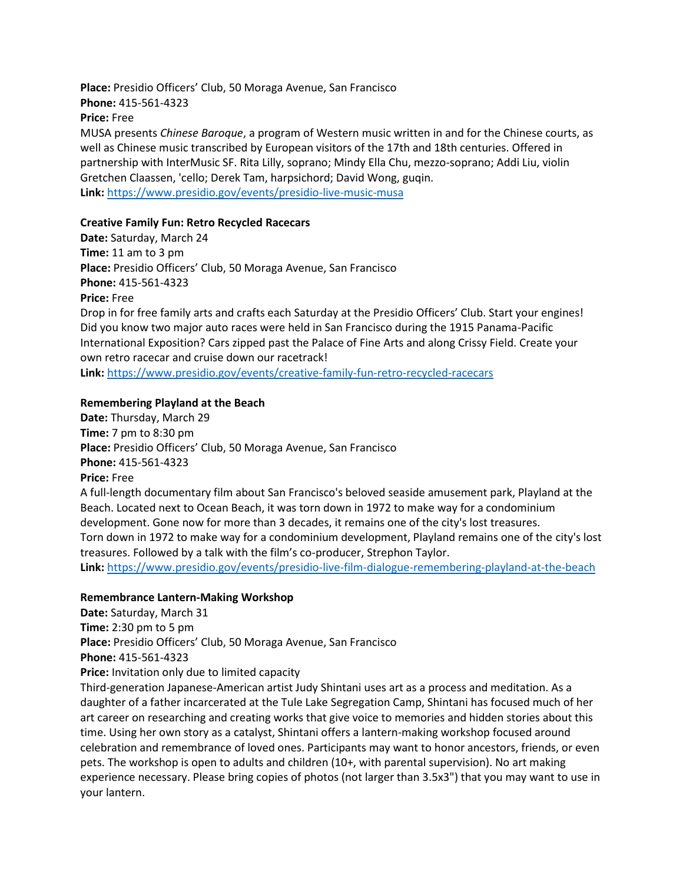**Place:** Presidio Officers' Club, 50 Moraga Avenue, San Francisco **Phone:** 415-561-4323

**Price:** Free

MUSA presents *Chinese Baroque*, a program of Western music written in and for the Chinese courts, as well as Chinese music transcribed by European visitors of the 17th and 18th centuries. Offered in partnership with InterMusic SF. Rita Lilly, soprano; Mindy Ella Chu, mezzo-soprano; Addi Liu, violin Gretchen Claassen, 'cello; Derek Tam, harpsichord; David Wong, guqin. **Link:** <https://www.presidio.gov/events/presidio-live-music-musa>

# **Creative Family Fun: Retro Recycled Racecars**

**Date:** Saturday, March 24 **Time:** 11 am to 3 pm **Place:** Presidio Officers' Club, 50 Moraga Avenue, San Francisco **Phone:** 415-561-4323 **Price:** Free Drop in for free family arts and crafts each Saturday at the Presidio Officers' Club. Start your engines! Did you know two major auto races were held in San Francisco during the 1915 Panama-Pacific International Exposition? Cars zipped past the Palace of Fine Arts and along Crissy Field. Create your own retro racecar and cruise down our racetrack! **Link:** <https://www.presidio.gov/events/creative-family-fun-retro-recycled-racecars>

## **Remembering Playland at the Beach**

**Date:** Thursday, March 29 **Time:** 7 pm to 8:30 pm **Place:** Presidio Officers' Club, 50 Moraga Avenue, San Francisco **Phone:** 415-561-4323 **Price:** Free A full-length documentary film about San Francisco's beloved seaside amusement park, Playland at the

Beach. Located next to Ocean Beach, it was torn down in 1972 to make way for a condominium development. Gone now for more than 3 decades, it remains one of the city's lost treasures. Torn down in 1972 to make way for a condominium development, Playland remains one of the city's lost treasures. Followed by a talk with the film's co-producer, Strephon Taylor.

**Link:** <https://www.presidio.gov/events/presidio-live-film-dialogue-remembering-playland-at-the-beach>

## **Remembrance Lantern-Making Workshop**

**Date:** Saturday, March 31

**Time:** 2:30 pm to 5 pm

**Place:** Presidio Officers' Club, 50 Moraga Avenue, San Francisco

**Phone:** 415-561-4323

**Price:** Invitation only due to limited capacity

Third-generation Japanese-American artist Judy Shintani uses art as a process and meditation. As a daughter of a father incarcerated at the Tule Lake Segregation Camp, Shintani has focused much of her art career on researching and creating works that give voice to memories and hidden stories about this time. Using her own story as a catalyst, Shintani offers a lantern-making workshop focused around celebration and remembrance of loved ones. Participants may want to honor ancestors, friends, or even pets. The workshop is open to adults and children (10+, with parental supervision). No art making experience necessary. Please bring copies of photos (not larger than 3.5x3") that you may want to use in your lantern.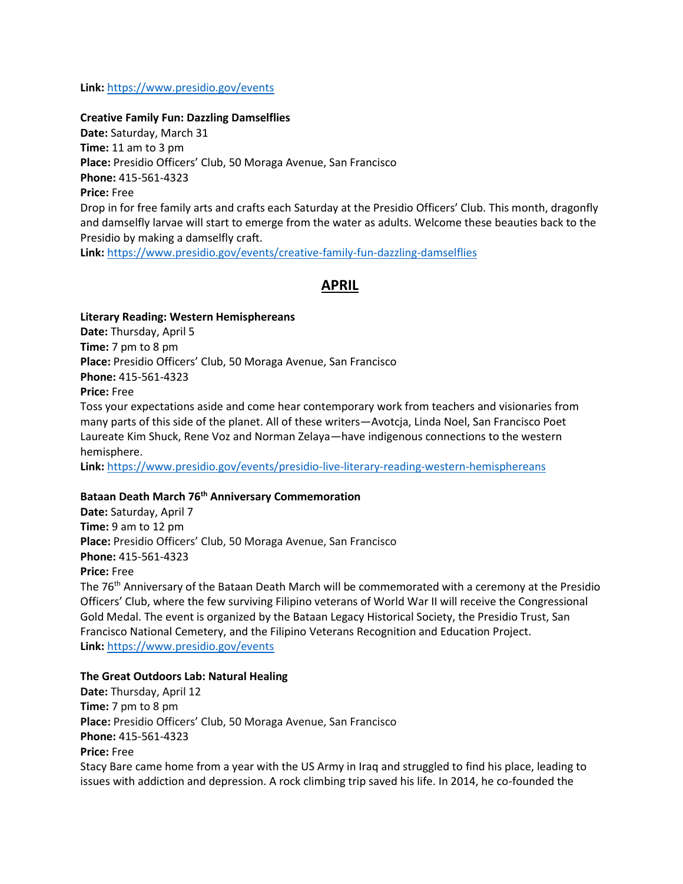## **Link:** <https://www.presidio.gov/events>

#### **Creative Family Fun: Dazzling Damselflies**

**Date:** Saturday, March 31 **Time:** 11 am to 3 pm **Place:** Presidio Officers' Club, 50 Moraga Avenue, San Francisco **Phone:** 415-561-4323 **Price:** Free Drop in for free family arts and crafts each Saturday at the Presidio Officers' Club. This month, dragonfly and damselfly larvae will start to emerge from the water as adults. Welcome these beauties back to the Presidio by making a damselfly craft.

**Link:** <https://www.presidio.gov/events/creative-family-fun-dazzling-damselflies>

# **APRIL**

**Literary Reading: Western Hemisphereans Date:** Thursday, April 5 **Time:** 7 pm to 8 pm **Place:** Presidio Officers' Club, 50 Moraga Avenue, San Francisco **Phone:** 415-561-4323 **Price:** Free

Toss your expectations aside and come hear contemporary work from teachers and visionaries from many parts of this side of the planet. All of these writers—Avotcja, Linda Noel, San Francisco Poet Laureate Kim Shuck, Rene Voz and Norman Zelaya—have indigenous connections to the western hemisphere.

**Link:** <https://www.presidio.gov/events/presidio-live-literary-reading-western-hemisphereans>

## **Bataan Death March 76th Anniversary Commemoration**

**Date:** Saturday, April 7 **Time:** 9 am to 12 pm **Place:** Presidio Officers' Club, 50 Moraga Avenue, San Francisco **Phone:** 415-561-4323 **Price:** Free

The 76th Anniversary of the Bataan Death March will be commemorated with a ceremony at the Presidio Officers' Club, where the few surviving Filipino veterans of World War II will receive the Congressional Gold Medal. The event is organized by the Bataan Legacy Historical Society, the Presidio Trust, San Francisco National Cemetery, and the Filipino Veterans Recognition and Education Project. **Link:** <https://www.presidio.gov/events>

#### **The Great Outdoors Lab: Natural Healing**

**Date:** Thursday, April 12 **Time:** 7 pm to 8 pm **Place:** Presidio Officers' Club, 50 Moraga Avenue, San Francisco **Phone:** 415-561-4323 **Price:** Free Stacy Bare came home from a year with the US Army in Iraq and struggled to find his place, leading to issues with addiction and depression. A rock climbing trip saved his life. In 2014, he co-founded the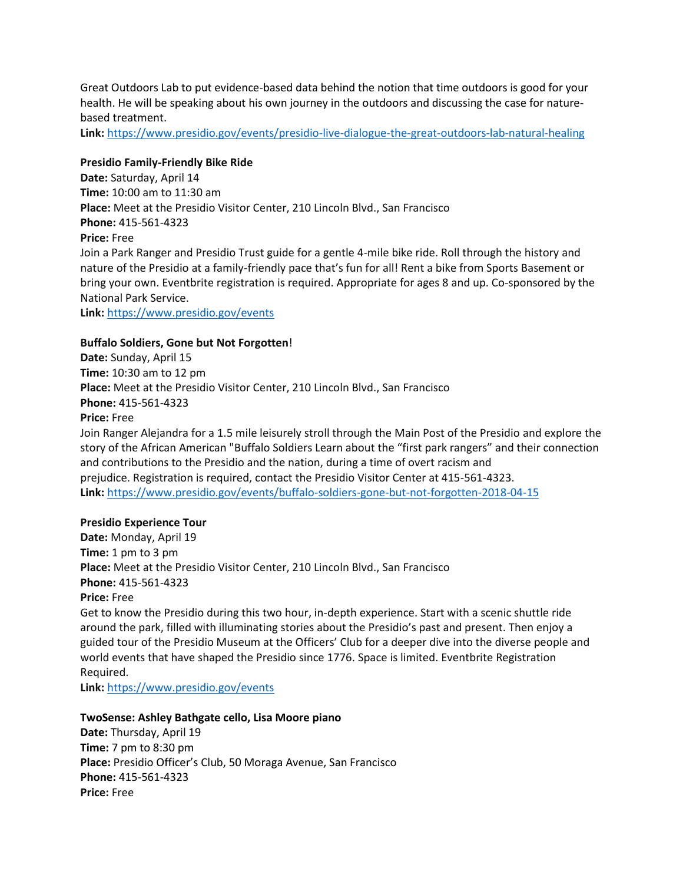Great Outdoors Lab to put evidence-based data behind the notion that time outdoors is good for your health. He will be speaking about his own journey in the outdoors and discussing the case for naturebased treatment.

**Link:** <https://www.presidio.gov/events/presidio-live-dialogue-the-great-outdoors-lab-natural-healing>

## **Presidio Family-Friendly Bike Ride**

**Date:** Saturday, April 14 **Time:** 10:00 am to 11:30 am **Place:** Meet at the Presidio Visitor Center, 210 Lincoln Blvd., San Francisco **Phone:** 415-561-4323 **Price:** Free Join a Park Ranger and Presidio Trust guide for a gentle 4-mile bike ride. Roll through the history and nature of the Presidio at a family-friendly pace that's fun for all! Rent a bike from Sports Basement or bring your own. Eventbrite registration is required. Appropriate for ages 8 and up. Co-sponsored by the

National Park Service. **Link:** <https://www.presidio.gov/events>

## **Buffalo Soldiers, Gone but Not Forgotten**!

**Date:** Sunday, April 15 **Time:** 10:30 am to 12 pm **Place:** Meet at the Presidio Visitor Center, 210 Lincoln Blvd., San Francisco **Phone:** 415-561-4323 **Price:** Free Join Ranger Alejandra for a 1.5 mile leisurely stroll through the Main Post of the Presidio and explore the story of the African American "Buffalo Soldiers Learn about the "first park rangers" and their connection and contributions to the Presidio and the nation, during a time of overt racism and prejudice. Registration is required, contact the Presidio Visitor Center at 415-561-4323. **Link:** <https://www.presidio.gov/events/buffalo-soldiers-gone-but-not-forgotten-2018-04-15>

#### **Presidio Experience Tour**

**Date:** Monday, April 19 **Time:** 1 pm to 3 pm **Place:** Meet at the Presidio Visitor Center, 210 Lincoln Blvd., San Francisco **Phone:** 415-561-4323 **Price:** Free

Get to know the Presidio during this two hour, in-depth experience. Start with a scenic shuttle ride around the park, filled with illuminating stories about the Presidio's past and present. Then enjoy a guided tour of the Presidio Museum at the Officers' Club for a deeper dive into the diverse people and world events that have shaped the Presidio since 1776. Space is limited. Eventbrite Registration Required.

**Link:** <https://www.presidio.gov/events>

#### **TwoSense: Ashley Bathgate cello, Lisa Moore piano**

**Date:** Thursday, April 19 **Time:** 7 pm to 8:30 pm **Place:** Presidio Officer's Club, 50 Moraga Avenue, San Francisco **Phone:** 415-561-4323 **Price:** Free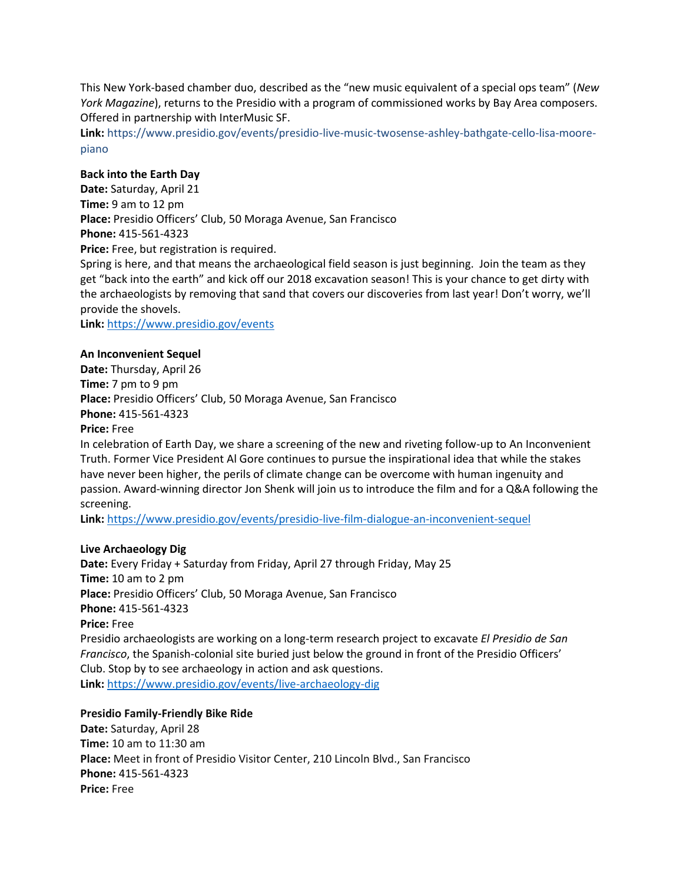This New York-based chamber duo, described as the "new music equivalent of a special ops team" (*New York Magazine*), returns to the Presidio with a program of commissioned works by Bay Area composers. Offered in partnership with InterMusic SF.

**Link:** https://www.presidio.gov/events/presidio-live-music-twosense-ashley-bathgate-cello-lisa-moorepiano

## **Back into the Earth Day**

**Date:** Saturday, April 21 **Time:** 9 am to 12 pm **Place:** Presidio Officers' Club, 50 Moraga Avenue, San Francisco **Phone:** 415-561-4323 **Price:** Free, but registration is required.

Spring is here, and that means the archaeological field season is just beginning. Join the team as they get "back into the earth" and kick off our 2018 excavation season! This is your chance to get dirty with the archaeologists by removing that sand that covers our discoveries from last year! Don't worry, we'll provide the shovels.

**Link:** <https://www.presidio.gov/events>

#### **An Inconvenient Sequel**

**Date:** Thursday, April 26 **Time:** 7 pm to 9 pm **Place:** Presidio Officers' Club, 50 Moraga Avenue, San Francisco **Phone:** 415-561-4323 **Price:** Free

In celebration of Earth Day, we share a screening of the new and riveting follow-up to An Inconvenient Truth. Former Vice President Al Gore continues to pursue the inspirational idea that while the stakes have never been higher, the perils of climate change can be overcome with human ingenuity and passion. Award-winning director Jon Shenk will join us to introduce the film and for a Q&A following the screening.

**Link:** <https://www.presidio.gov/events/presidio-live-film-dialogue-an-inconvenient-sequel>

#### **Live Archaeology Dig**

**Date:** Every Friday + Saturday from Friday, April 27 through Friday, May 25 **Time:** 10 am to 2 pm **Place:** Presidio Officers' Club, 50 Moraga Avenue, San Francisco **Phone:** 415-561-4323 **Price:** Free Presidio archaeologists are working on a long-term research project to excavate *El Presidio de San Francisco*, the Spanish-colonial site buried just below the ground in front of the Presidio Officers' Club. Stop by to see archaeology in action and ask questions. **Link:** <https://www.presidio.gov/events/live-archaeology-dig>

#### **Presidio Family-Friendly Bike Ride**

**Date:** Saturday, April 28 **Time:** 10 am to 11:30 am **Place:** Meet in front of Presidio Visitor Center, 210 Lincoln Blvd., San Francisco **Phone:** 415-561-4323 **Price:** Free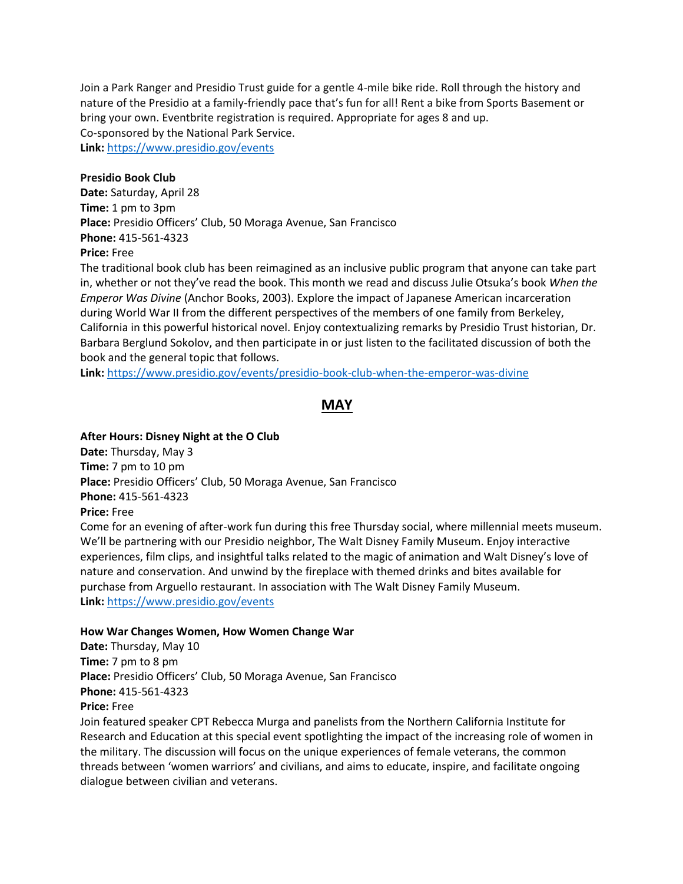Join a Park Ranger and Presidio Trust guide for a gentle 4-mile bike ride. Roll through the history and nature of the Presidio at a family-friendly pace that's fun for all! Rent a bike from Sports Basement or bring your own. Eventbrite registration is required. Appropriate for ages 8 and up. Co-sponsored by the National Park Service. **Link:** <https://www.presidio.gov/events>

## **Presidio Book Club**

**Date:** Saturday, April 28 **Time:** 1 pm to 3pm **Place:** Presidio Officers' Club, 50 Moraga Avenue, San Francisco **Phone:** 415-561-4323 **Price:** Free

The traditional book club has been reimagined as an inclusive public program that anyone can take part in, whether or not they've read the book. This month we read and discuss Julie Otsuka's book *When the Emperor Was Divine* (Anchor Books, 2003). Explore the impact of Japanese American incarceration during World War II from the different perspectives of the members of one family from Berkeley, California in this powerful historical novel. Enjoy contextualizing remarks by Presidio Trust historian, Dr. Barbara Berglund Sokolov, and then participate in or just listen to the facilitated discussion of both the book and the general topic that follows.

**Link:** <https://www.presidio.gov/events/presidio-book-club-when-the-emperor-was-divine>

# **MAY**

## **After Hours: Disney Night at the O Club**

**Date:** Thursday, May 3 **Time:** 7 pm to 10 pm **Place:** Presidio Officers' Club, 50 Moraga Avenue, San Francisco **Phone:** 415-561-4323 **Price:** Free Come for an evening of after-work fun during this free Thursday social, where millennial meets museum. We'll be partnering with our Presidio neighbor, The Walt Disney Family Museum. Enjoy interactive experiences, film clips, and insightful talks related to the magic of animation and Walt Disney's love of

nature and conservation. And unwind by the fireplace with themed drinks and bites available for purchase from Arguello restaurant. In association with The Walt Disney Family Museum. **Link:** <https://www.presidio.gov/events>

## **How War Changes Women, How Women Change War**

**Date:** Thursday, May 10 **Time:** 7 pm to 8 pm **Place:** Presidio Officers' Club, 50 Moraga Avenue, San Francisco **Phone:** 415-561-4323 **Price:** Free

Join featured speaker CPT Rebecca Murga and panelists from the Northern California Institute for Research and Education at this special event spotlighting the impact of the increasing role of women in the military. The discussion will focus on the unique experiences of female veterans, the common threads between 'women warriors' and civilians, and aims to educate, inspire, and facilitate ongoing dialogue between civilian and veterans.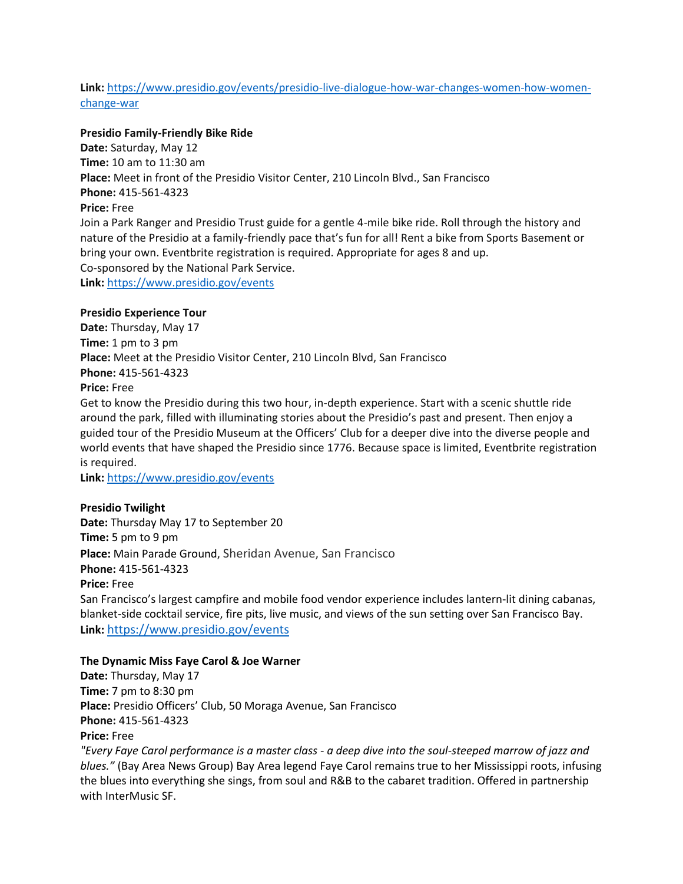# **Link:** [https://www.presidio.gov/events/presidio-live-dialogue-how-war-changes-women-how-women](https://www.presidio.gov/events/presidio-live-dialogue-how-war-changes-women-how-women-change-war)[change-war](https://www.presidio.gov/events/presidio-live-dialogue-how-war-changes-women-how-women-change-war)

## **Presidio Family-Friendly Bike Ride**

**Date:** Saturday, May 12 **Time:** 10 am to 11:30 am **Place:** Meet in front of the Presidio Visitor Center, 210 Lincoln Blvd., San Francisco **Phone:** 415-561-4323 **Price:** Free Join a Park Ranger and Presidio Trust guide for a gentle 4-mile bike ride. Roll through the history and nature of the Presidio at a family-friendly pace that's fun for all! Rent a bike from Sports Basement or bring your own. Eventbrite registration is required. Appropriate for ages 8 and up. Co-sponsored by the National Park Service. **Link:** <https://www.presidio.gov/events>

# **Presidio Experience Tour**

**Date:** Thursday, May 17 **Time:** 1 pm to 3 pm **Place:** Meet at the Presidio Visitor Center, 210 Lincoln Blvd, San Francisco **Phone:** 415-561-4323 **Price:** Free

Get to know the Presidio during this two hour, in-depth experience. Start with a scenic shuttle ride around the park, filled with illuminating stories about the Presidio's past and present. Then enjoy a guided tour of the Presidio Museum at the Officers' Club for a deeper dive into the diverse people and world events that have shaped the Presidio since 1776. Because space is limited, Eventbrite registration is required.

**Link:** <https://www.presidio.gov/events>

#### **Presidio Twilight**

**Date:** Thursday May 17 to September 20 **Time:** 5 pm to 9 pm **Place:** Main Parade Ground, Sheridan Avenue, San Francisco **Phone:** 415-561-4323 **Price:** Free San Francisco's largest campfire and mobile food vendor experience includes lantern-lit dining cabanas, blanket-side cocktail service, fire pits, live music, and views of the sun setting over San Francisco Bay. **Link:** <https://www.presidio.gov/events>

#### **The Dynamic Miss Faye Carol & Joe Warner**

**Date:** Thursday, May 17 **Time:** 7 pm to 8:30 pm **Place:** Presidio Officers' Club, 50 Moraga Avenue, San Francisco **Phone:** 415-561-4323 **Price:** Free *"Every Faye Carol performance is a master class - a deep dive into the soul-steeped marrow of jazz and* 

*blues."* (Bay Area News Group) Bay Area legend Faye Carol remains true to her Mississippi roots, infusing the blues into everything she sings, from soul and R&B to the cabaret tradition. Offered in partnership with InterMusic SF.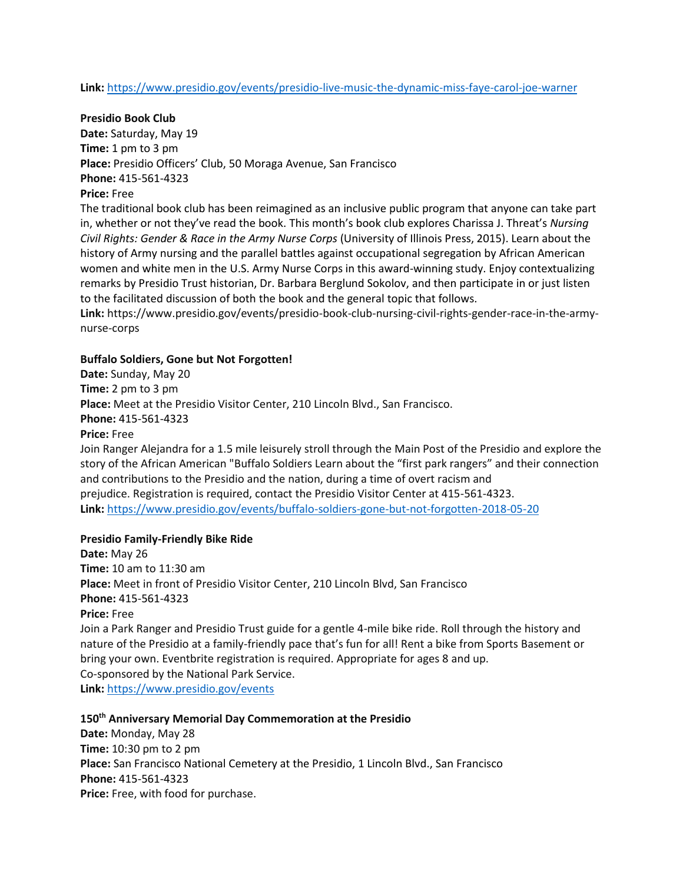**Link:** <https://www.presidio.gov/events/presidio-live-music-the-dynamic-miss-faye-carol-joe-warner>

**Presidio Book Club**

**Date:** Saturday, May 19 **Time:** 1 pm to 3 pm **Place:** Presidio Officers' Club, 50 Moraga Avenue, San Francisco **Phone:** 415-561-4323

## **Price:** Free

The traditional book club has been reimagined as an inclusive public program that anyone can take part in, whether or not they've read the book. This month's book club explores Charissa J. Threat's *Nursing Civil Rights: Gender & Race in the Army Nurse Corps* (University of Illinois Press, 2015). Learn about the history of Army nursing and the parallel battles against occupational segregation by African American women and white men in the U.S. Army Nurse Corps in this award-winning study. Enjoy contextualizing remarks by Presidio Trust historian, Dr. Barbara Berglund Sokolov, and then participate in or just listen to the facilitated discussion of both the book and the general topic that follows.

**Link:** https://www.presidio.gov/events/presidio-book-club-nursing-civil-rights-gender-race-in-the-armynurse-corps

## **Buffalo Soldiers, Gone but Not Forgotten!**

**Date:** Sunday, May 20 **Time:** 2 pm to 3 pm **Place:** Meet at the Presidio Visitor Center, 210 Lincoln Blvd., San Francisco. **Phone:** 415-561-4323 **Price:** Free

Join Ranger Alejandra for a 1.5 mile leisurely stroll through the Main Post of the Presidio and explore the story of the African American "Buffalo Soldiers Learn about the "first park rangers" and their connection and contributions to the Presidio and the nation, during a time of overt racism and prejudice. Registration is required, contact the Presidio Visitor Center at 415-561-4323. **Link:** <https://www.presidio.gov/events/buffalo-soldiers-gone-but-not-forgotten-2018-05-20>

#### **Presidio Family-Friendly Bike Ride**

**Date:** May 26 **Time:** 10 am to 11:30 am **Place:** Meet in front of Presidio Visitor Center, 210 Lincoln Blvd, San Francisco **Phone:** 415-561-4323 **Price:** Free Join a Park Ranger and Presidio Trust guide for a gentle 4-mile bike ride. Roll through the history and nature of the Presidio at a family-friendly pace that's fun for all! Rent a bike from Sports Basement or bring your own. Eventbrite registration is required. Appropriate for ages 8 and up. Co-sponsored by the National Park Service. **Link:** <https://www.presidio.gov/events>

# **150th Anniversary Memorial Day Commemoration at the Presidio**

**Date:** Monday, May 28 **Time:** 10:30 pm to 2 pm **Place:** San Francisco National Cemetery at the Presidio, 1 Lincoln Blvd., San Francisco **Phone:** 415-561-4323 **Price:** Free, with food for purchase.